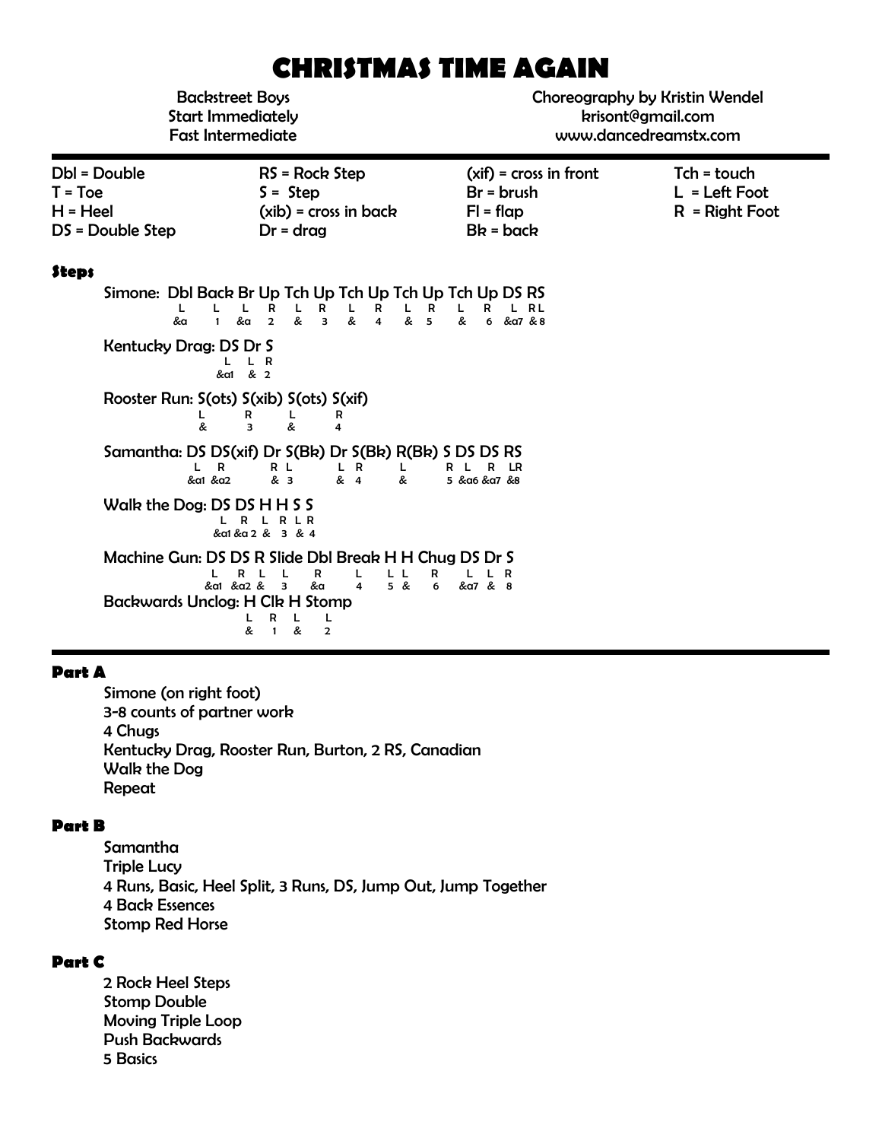# **CHRISTMAS TIME AGAIN**

Backstreet Boys Start Immediately Fast Intermediate Choreography by Kristin Wendel krisont@gmail.com www.dancedreamstx.com

| Dbl = Double       | $RS = Rock Step$        | $(xif) = cross in front$ | Tch = touch      |
|--------------------|-------------------------|--------------------------|------------------|
| $T = Toe$          | $S =$ Step              | $Br = brush$             | $L = Left Foot$  |
| $H = Heel$         | $(xib)$ = cross in back | $FI = flap$              | $R =$ Right Foot |
| $DS = Double Step$ | $Dr = drag$             | $Bk = back$              |                  |
|                    |                         |                          |                  |
|                    |                         |                          |                  |

#### **Steps**

Simone: Dbl Back Br Up Tch Up Tch Up Tch Up Tch Up DS RS L L L R L R L R L R L R L R L &a 1 &a 2 & 3 & 4 & 5 & 6 &a7 & 8 Kentucky Drag: DS Dr S  $L$  L R  $\&$  a1  $\&$  2 Rooster Run: S(ots) S(xib) S(ots) S(xif) L R L R & 3 & 4 Samantha: DS DS(xif) Dr S(Bk) Dr S(Bk) R(Bk) S DS DS RS RL LR L RLRLR<br>& 3 & 4 & 5 & a6 & a7 & 8 &a1 &a2 & 3 & 4 & 5 &a6 &a7 &8 Walk the Dog: DS DS H H S S L R L R L R &a1 &a 2 & 3 & 4 Machine Gun: DS DS R Slide Dbl Break H H Chug DS Dr S L R L L R L L R L L R &a1 &a2 & 3 &a 4 5 & 6 &a7 & 8 Backwards Unclog: H Clk H Stomp L R L L & 1 & 2

#### **Part A**

Simone (on right foot) 3-8 counts of partner work 4 Chugs Kentucky Drag, Rooster Run, Burton, 2 RS, Canadian Walk the Dog Repeat

### **Part B**

Samantha Triple Lucy 4 Runs, Basic, Heel Split, 3 Runs, DS, Jump Out, Jump Together 4 Back Essences Stomp Red Horse

### **Part C**

2 Rock Heel Steps Stomp Double Moving Triple Loop Push Backwards 5 Basics